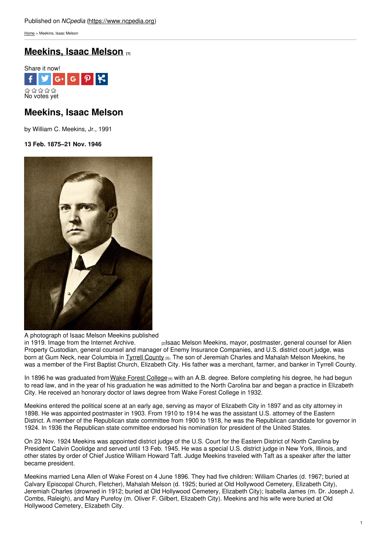[Home](https://www.ncpedia.org/) > Meekins, Isaac Melson

# **[Meekins,](https://www.ncpedia.org/biography/meekins-isaac-melson) Isaac Melson [1]**



# **Meekins, Isaac Melson**

by William C. Meekins, Jr., 1991

**13 Feb. 1875–21 Nov. 1946**



A photograph of Isaac Melson Meekins published

in 1919. Image from the Internet [Archive.](https://archive.org/stream/historyofnorthca05#page/n63/mode/2up) <sup>[2]</sup><sub>[2]</sub>Isaac Melson Meekins, mayor, postmaster, general counsel for Alien Property Custodian, general counsel and manager of Enemy Insurance Companies, and U.S. district court judge, was born at Gum Neck, near Columbia in Tyrrell [County](https://www.ncpedia.org/geography/tyrrell) [3]. The son of Jeremiah Charles and Mahalah Melson Meekins, he was a member of the First Baptist Church, Elizabeth City. His father was a merchant, farmer, and banker in Tyrrell County.

In 1896 he was graduated from Wake Forest [College](https://www.ncpedia.org/wake-forest-university) [4] with an A.B. degree. Before completing his degree, he had begun to read law, and in the year of his graduation he was admitted to the North Carolina bar and began a practice in Elizabeth City. He received an honorary doctor of laws degree from Wake Forest College in 1932.

Meekins entered the political scene at an early age, serving as mayor of Elizabeth City in 1897 and as city attorney in 1898. He was appointed postmaster in 1903. From 1910 to 1914 he was the assistant U.S. attorney of the Eastern District. A member of the Republican state committee from 1900 to 1918, he was the Republican candidate for governor in 1924. In 1936 the Republican state committee endorsed his nomination for president of the United States.

On 23 Nov. 1924 Meekins was appointed district judge of the U.S. Court for the Eastern District of North Carolina by President Calvin Coolidge and served until 13 Feb. 1945. He was a special U.S. district judge in New York, Illinois, and other states by order of Chief Justice William Howard Taft. Judge Meekins traveled with Taft as a speaker after the latter became president.

Meekins married Lena Allen of Wake Forest on 4 June 1896. They had five children: William Charles (d. 1967; buried at Calvary Episcopal Church, Fletcher), Mahalah Melson (d. 1925; buried at Old Hollywood Cemetery, Elizabeth City), Jeremiah Charles (drowned in 1912; buried at Old Hollywood Cemetery, Elizabeth City); Isabella James (m. Dr. Joseph J. Combs, Raleigh), and Mary Purefoy (m. Oliver F. Gilbert, Elizabeth City). Meekins and his wife were buried at Old Hollywood Cemetery, Elizabeth City.